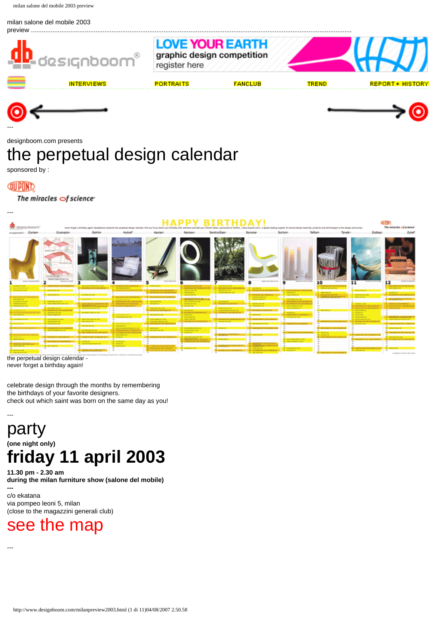#### milan salone del mobile 2003





designboom.com presents

# the perpetual design calendar

sponsored by :

**QUIPOND** 

# The miracles  $\bigcirc$ f science



never forget a birthday again!

celebrate design through the months by remembering the birthdays of your favorite designers. check out which saint was born on the same day as you!

# -- party **(one night only) friday 11 april 2003**

**11.30 pm - 2.30 am during the milan furniture show (salone del mobile) ---** 

c/o ekatana via pompeo leoni 5, milan (close to the magazzini generali club)

# [see the map](http://www.designboom.com/milan_map.html)

---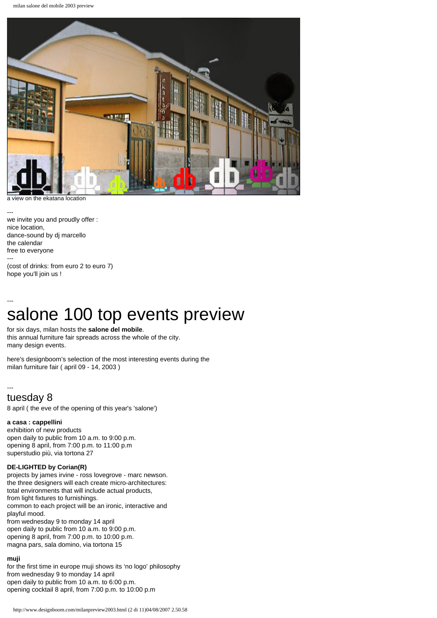

a view on the ekatana location

---

we invite you and proudly offer : nice location, dance-sound by dj marcello the calendar free to everyone --- (cost of drinks: from euro 2 to euro 7)

hope you'll join us !

# -- salone 100 top events preview

for six days, milan hosts the **salone del mobile**. this annual furniture fair spreads across the whole of the city. many design events.

here's designboom's selection of the most interesting events during the milan furniture fair ( april 09 - 14, 2003 )

# -- tuesday 8

8 april ( the eve of the opening of this year's 'salone')

# **a casa : cappellini**

exhibition of new products open daily to public from 10 a.m. to 9:00 p.m. opening 8 april, from 7:00 p.m. to 11:00 p.m superstudio più, via tortona 27

# **DE-LIGHTED by Corian(R)**

projects by james irvine - ross lovegrove - marc newson. the three designers will each create micro-architectures: total environments that will include actual products, from light fixtures to furnishings. common to each project will be an ironic, interactive and playful mood. from wednesday 9 to monday 14 april open daily to public from 10 a.m. to 9:00 p.m. opening 8 april, from 7:00 p.m. to 10:00 p.m. magna pars, sala domino, via tortona 15

# **muji**

for the first time in europe muji shows its 'no logo' philosophy from wednesday 9 to monday 14 april open daily to public from 10 a.m. to 6:00 p.m. opening cocktail 8 april, from 7:00 p.m. to 10:00 p.m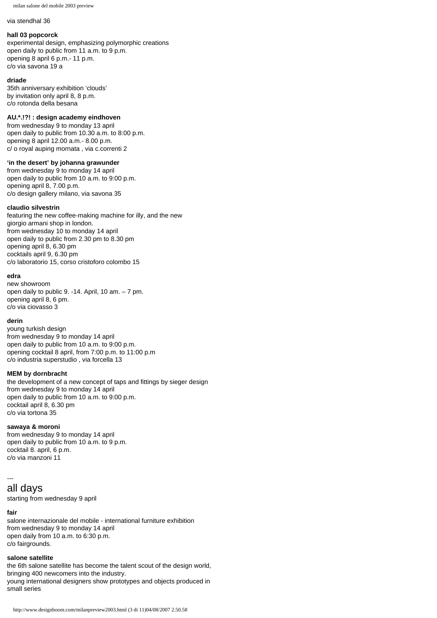#### via stendhal 36

#### **hall 03 popcorck**

experimental design, emphasizing polymorphic creations open daily to public from 11 a.m. to 9 p.m. opening 8 april 6 p.m.- 11 p.m. c/o via savona 19 a

#### **driade**

35th anniversary exhibition 'clouds' by invitation only april 8, 8 p.m. c/o rotonda della besana

#### **AU.\*.!?! : design academy eindhoven**

from wednesday 9 to monday 13 april open daily to public from 10.30 a.m. to 8:00 p.m. opening 8 april 12.00 a.m.- 8.00 p.m. c/ o royal auping mornata , via c.correnti 2

# **'in the desert' by johanna grawunder**

from wednesday 9 to monday 14 april open daily to public from 10 a.m. to 9:00 p.m. opening april 8, 7.00 p.m. c/o design gallery milano, via savona 35

#### **claudio silvestrin**

featuring the new coffee-making machine for illy, and the new giorgio armani shop in london. from wednesday 10 to monday 14 april open daily to public from 2.30 pm to 8.30 pm opening april 8, 6.30 pm cocktails april 9, 6.30 pm c/o laboratorio 15, corso cristoforo colombo 15

# **edra**

new showroom open daily to public 9. -14. April, 10 am. – 7 pm. opening april 8, 6 pm. c/o via ciovasso 3

#### **derin**

young turkish design from wednesday 9 to monday 14 april open daily to public from 10 a.m. to 9:00 p.m. opening cocktail 8 april, from 7:00 p.m. to 11:00 p.m c/o industria superstudio , via forcella 13

#### **MEM by dornbracht**

the development of a new concept of taps and fittings by sieger design from wednesday 9 to monday 14 april open daily to public from 10 a.m. to 9:00 p.m. cocktail april 8, 6.30 pm c/o via tortona 35

#### **sawaya & moroni**

from wednesday 9 to monday 14 april open daily to public from 10 a.m. to 9 p.m. cocktail 8. april, 6 p.m. c/o via manzoni 11

# ---

all days

starting from wednesday 9 april

#### **fair**

salone internazionale del mobile - international furniture exhibition from wednesday 9 to monday 14 april open daily from 10 a.m. to 6:30 p.m. c/o fairgrounds.

## **salone satellite**

the 6th salone satellite has become the talent scout of the design world, bringing 400 newcomers into the industry. young international designers show prototypes and objects produced in small series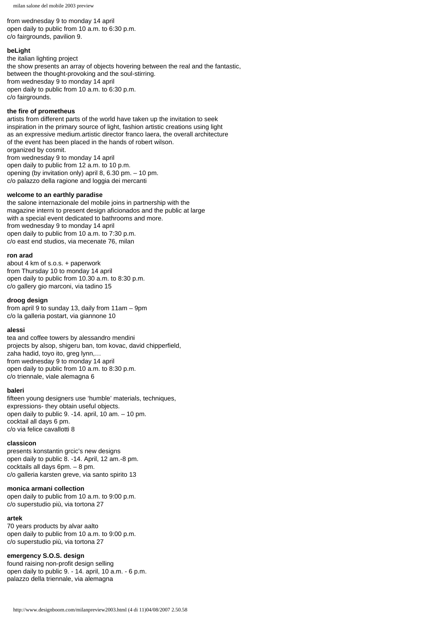from wednesday 9 to monday 14 april open daily to public from 10 a.m. to 6:30 p.m. c/o fairgrounds, pavilion 9.

# **beLight**

the italian lighting project the show presents an array of objects hovering between the real and the fantastic, between the thought-provoking and the soul-stirring. from wednesday 9 to monday 14 april open daily to public from 10 a.m. to 6:30 p.m. c/o fairgrounds.

#### **the fire of prometheus**

artists from different parts of the world have taken up the invitation to seek inspiration in the primary source of light, fashion artistic creations using light as an expressive medium.artistic director franco laera, the overall architecture of the event has been placed in the hands of robert wilson. organized by cosmit. from wednesday 9 to monday 14 april open daily to public from 12 a.m. to 10 p.m. opening (by invitation only) april 8, 6.30 pm. – 10 pm. c/o palazzo della ragione and loggia dei mercanti

#### **welcome to an earthly paradise**

the salone internazionale del mobile joins in partnership with the magazine interni to present design aficionados and the public at large with a special event dedicated to bathrooms and more. from wednesday 9 to monday 14 april open daily to public from 10 a.m. to 7:30 p.m. c/o east end studios, via mecenate 76, milan

#### **ron arad**

about 4 km of s.o.s. + paperwork from Thursday 10 to monday 14 april open daily to public from 10.30 a.m. to 8:30 p.m. c/o gallery gio marconi, via tadino 15

#### **droog design**

from april 9 to sunday 13, daily from 11am – 9pm c/o la galleria postart, via giannone 10

#### **alessi**

tea and coffee towers by alessandro mendini projects by alsop, shigeru ban, tom kovac, david chipperfield, zaha hadid, toyo ito, greg lynn,… from wednesday 9 to monday 14 april open daily to public from 10 a.m. to 8:30 p.m. c/o triennale, viale alemagna 6

#### **baleri**

fifteen young designers use 'humble' materials, techniques, expressions- they obtain useful objects. open daily to public 9. -14. april, 10 am. – 10 pm. cocktail all days 6 pm. c/o via felice cavallotti 8

#### **classicon**

presents konstantin grcic's new designs open daily to public 8. -14. April, 12 am.-8 pm. cocktails all days 6pm. – 8 pm. c/o galleria karsten greve, via santo spirito 13

#### **monica armani collection**

open daily to public from 10 a.m. to 9:00 p.m. c/o superstudio più, via tortona 27

#### **artek**

70 years products by alvar aalto open daily to public from 10 a.m. to 9:00 p.m. c/o superstudio più, via tortona 27

#### **emergency S.O.S. design**

found raising non-profit design selling open daily to public 9. - 14. april, 10 a.m. - 6 p.m. palazzo della triennale, via alemagna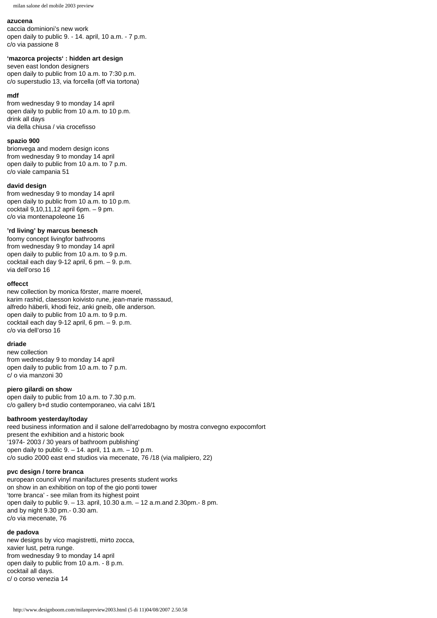# **azucena**

caccia dominioni's new work open daily to public 9. - 14. april, 10 a.m. - 7 p.m. c/o via passione 8

# **'mazorca projects' : hidden art design**

seven east london designers open daily to public from 10 a.m. to 7:30 p.m. c/o superstudio 13, via forcella (off via tortona)

#### **mdf**

from wednesday 9 to monday 14 april open daily to public from 10 a.m. to 10 p.m. drink all days via della chiusa / via crocefisso

#### **spazio 900**

brionvega and modern design icons from wednesday 9 to monday 14 april open daily to public from 10 a.m. to 7 p.m. c/o viale campania 51

#### **david design**

from wednesday 9 to monday 14 april open daily to public from 10 a.m. to 10 p.m. cocktail 9,10,11,12 april 6pm. – 9 pm. c/o via montenapoleone 16

# **'rd living' by marcus benesch**

foomy concept livingfor bathrooms from wednesday 9 to monday 14 april open daily to public from 10 a.m. to 9 p.m. cocktail each day 9-12 april, 6 pm. – 9. p.m. via dell'orso 16

# **offecct**

new collection by monica förster, marre moerel, karim rashid, claesson koivisto rune, jean-marie massaud, alfredo häberli, khodi feiz, anki gneib, olle anderson. open daily to public from 10 a.m. to 9 p.m. cocktail each day 9-12 april, 6 pm. – 9. p.m. c/o via dell'orso 16

#### **driade**

new collection from wednesday 9 to monday 14 april open daily to public from 10 a.m. to 7 p.m. c/ o via manzoni 30

# **piero gilardi on show**

open daily to public from 10 a.m. to 7.30 p.m. c/o gallery b+d studio contemporaneo, via calvi 18/1

#### **bathroom yesterday/today**

reed business information and il salone dell'arredobagno by mostra convegno expocomfort present the exhibition and a historic book '1974- 2003 / 30 years of bathroom publishing' open daily to public  $9. - 14$ . april, 11 a.m.  $-10$  p.m. c/o sudio 2000 east end studios via mecenate, 76 /18 (via malipiero, 22)

# **pvc design / torre branca**

european council vinyl manifactures presents student works on show in an exhibition on top of the gio ponti tower 'torre branca' - see milan from its highest point open daily to public 9. – 13. april, 10.30 a.m. – 12 a.m.and 2.30pm.- 8 pm. and by night 9.30 pm.- 0.30 am. c/o via mecenate, 76

#### **de padova**

new designs by vico magistretti, mirto zocca, xavier lust, petra runge. from wednesday 9 to monday 14 april open daily to public from 10 a.m. - 8 p.m. cocktail all days. c/ o corso venezia 14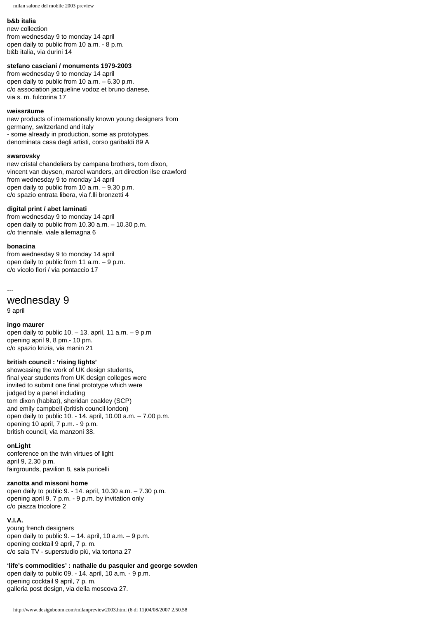#### **b&b italia**

new collection from wednesday 9 to monday 14 april open daily to public from 10 a.m. - 8 p.m. b&b italia, via durini 14

#### **stefano casciani / monuments 1979-2003**

from wednesday 9 to monday 14 april open daily to public from 10 a.m. – 6.30 p.m. c/o association jacqueline vodoz et bruno danese, via s. m. fulcorina 17

#### **weissräume**

new products of internationally known young designers from germany, switzerland and italy - some already in production, some as prototypes. denominata casa degli artisti, corso garibaldi 89 A

# **swarovsky**

new cristal chandeliers by campana brothers, tom dixon, vincent van duysen, marcel wanders, art direction ilse crawford from wednesday 9 to monday 14 april open daily to public from 10 a.m. – 9.30 p.m. c/o spazio entrata libera, via f.lli bronzetti 4

#### **digital print / abet laminati**

from wednesday 9 to monday 14 april open daily to public from 10.30 a.m. – 10.30 p.m. c/o triennale, viale allemagna 6

#### **bonacina**

from wednesday 9 to monday 14 april open daily to public from 11 a.m. – 9 p.m. c/o vicolo fiori / via pontaccio 17

#### ---

wednesday 9

9 april

#### **ingo maurer**

open daily to public  $10. - 13$ . april,  $11$  a.m.  $-9$  p.m opening april 9, 8 pm.- 10 pm. c/o spazio krizia, via manin 21

# **british council : 'rising lights'**

showcasing the work of UK design students, final year students from UK design colleges were invited to submit one final prototype which were judged by a panel including tom dixon (habitat), sheridan coakley (SCP) and emily campbell (british council london) open daily to public 10. - 14. april, 10.00 a.m. – 7.00 p.m. opening 10 april, 7 p.m. - 9 p.m. british council, via manzoni 38.

## **onLight**

conference on the twin virtues of light april 9, 2.30 p.m. fairgrounds, pavilion 8, sala puricelli

#### **zanotta and missoni home**

open daily to public 9. - 14. april, 10.30 a.m. – 7.30 p.m. opening april 9, 7 p.m. - 9 p.m. by invitation only c/o piazza tricolore 2

#### **V.I.A.**

young french designers open daily to public  $9. - 14$ . april,  $10$  a.m.  $-9$  p.m. opening cocktail 9 april, 7 p. m. c/o sala TV - superstudio più, via tortona 27

# **'life's commodities' : nathalie du pasquier and george sowden**

open daily to public 09. - 14. april, 10 a.m. - 9 p.m. opening cocktail 9 april, 7 p. m. galleria post design, via della moscova 27.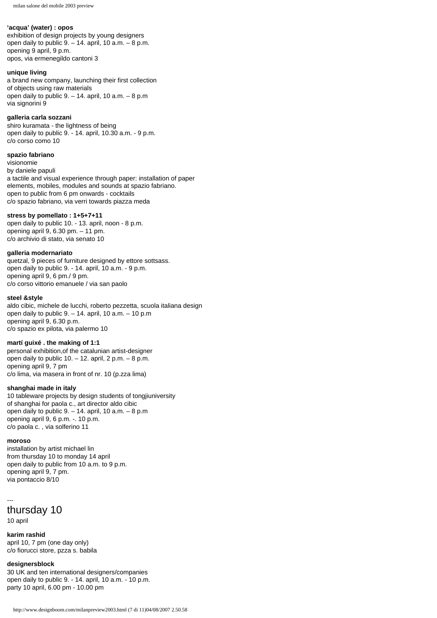#### **'acqua' (water) : opos**

exhibition of design projects by young designers open daily to public  $9. - 14$ . april,  $10$  a.m.  $-8$  p.m. opening 9 april, 9 p.m. opos, via ermenegildo cantoni 3

# **unique living**

a brand new company, launching their first collection of objects using raw materials open daily to public  $9. - 14$ . april,  $10$  a.m.  $-8$  p.m via signorini 9

# **galleria carla sozzani**

shiro kuramata - the lightness of being open daily to public 9. - 14. april, 10.30 a.m. - 9 p.m. c/o corso como 10

# **spazio fabriano**

visionomie by daniele papuli a tactile and visual experience through paper: installation of paper elements, mobiles, modules and sounds at spazio fabriano. open to public from 6 pm onwards - cocktails c/o spazio fabriano, via verri towards piazza meda

# **stress by pomellato : 1+5+7+11**

open daily to public 10. - 13. april, noon - 8 p.m. opening april 9, 6.30 pm. – 11 pm. c/o archivio di stato, via senato 10

# **galleria modernariato**

quetzal, 9 pieces of furniture designed by ettore sottsass. open daily to public 9. - 14. april, 10 a.m. - 9 p.m. opening april 9, 6 pm./ 9 pm. c/o corso vittorio emanuele / via san paolo

# **steel &style**

aldo cibic, michele de lucchi, roberto pezzetta, scuola italiana design open daily to public 9. – 14. april, 10 a.m. – 10 p.m opening april 9, 6.30 p.m. c/o spazio ex pilota, via palermo 10

# **martí guixé . the making of 1:1**

personal exhibition,of the catalunian artist-designer open daily to public  $10. - 12$ . april,  $2 p.m. - 8 p.m.$ opening april 9, 7 pm c/o lima, via masera in front of nr. 10 (p.zza lima)

# **shanghai made in italy**

10 tableware projects by design students of tongjiuniversity of shanghai for paola c., art director aldo cibic open daily to public 9. – 14. april, 10 a.m. – 8 p.m opening april 9, 6 p.m. -. 10 p.m. c/o paola c. , via solferino 11

# **moroso**

installation by artist michael lin from thursday 10 to monday 14 april open daily to public from 10 a.m. to 9 p.m. opening april 9, 7 pm. via pontaccio 8/10

# -- thursday 10 10 april

**karim rashid** april 10, 7 pm (one day only) c/o fiorucci store, pzza s. babila

# **designersblock**

30 UK and ten international designers/companies open daily to public 9. - 14. april, 10 a.m. - 10 p.m. party 10 april, 6.00 pm - 10.00 pm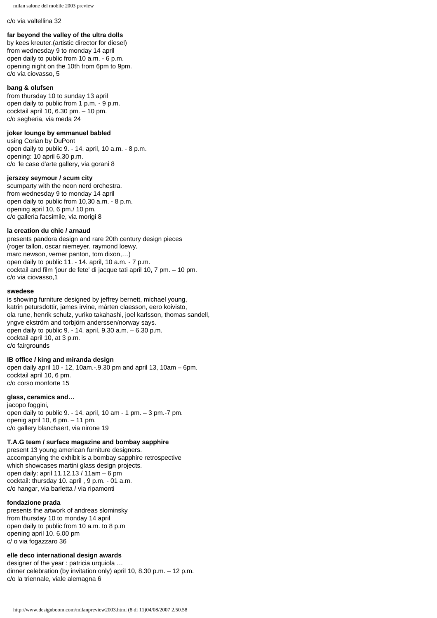#### c/o via valtellina 32

# **far beyond the valley of the ultra dolls**

by kees kreuter.(artistic director for diesel) from wednesday 9 to monday 14 april open daily to public from 10 a.m. - 6 p.m. opening night on the 10th from 6pm to 9pm. c/o via ciovasso, 5

#### **bang & olufsen**

from thursday 10 to sunday 13 april open daily to public from 1 p.m. - 9 p.m. cocktail april 10, 6.30 pm. – 10 pm. c/o segheria, via meda 24

#### **joker lounge by emmanuel babled**

using Corian by DuPont open daily to public 9. - 14. april, 10 a.m. - 8 p.m. opening: 10 april 6.30 p.m. c/o 'le case d'arte gallery, via gorani 8

#### **jerszey seymour / scum city**

scumparty with the neon nerd orchestra. from wednesday 9 to monday 14 april open daily to public from 10,30 a.m. - 8 p.m. opening april 10, 6 pm./ 10 pm. c/o galleria facsimile, via morigi 8

# **la creation du chic / arnaud**

presents pandora design and rare 20th century design pieces (roger tallon, oscar niemeyer, raymond loewy, marc newson, verner panton, tom dixon,…) open daily to public 11. - 14. april, 10 a.m. - 7 p.m. cocktail and film 'jour de fete' di jacque tati april 10, 7 pm. – 10 pm. c/o via ciovasso,1

#### **swedese**

is showing furniture designed by jeffrey bernett, michael young, katrin petursdottir, james irvine, mårten claesson, eero koivisto, ola rune, henrik schulz, yuriko takahashi, joel karlsson, thomas sandell, yngve ekström and torbjörn anderssen/norway says. open daily to public 9. - 14. april, 9.30 a.m. – 6.30 p.m. cocktail april 10, at 3 p.m. c/o fairgrounds

#### **IB office / king and miranda design**

open daily april 10 - 12, 10am.-.9.30 pm and april 13, 10am – 6pm. cocktail april 10, 6 pm. c/o corso monforte 15

#### **glass, ceramics and…**

jacopo foggini, open daily to public 9. - 14. april, 10 am - 1 pm. – 3 pm.-7 pm. openig april 10, 6 pm. – 11 pm. c/o gallery blanchaert, via nirone 19

#### **T.A.G team / surface magazine and bombay sapphire**

present 13 young american furniture designers. accompanying the exhibit is a bombay sapphire retrospective which showcases martini glass design projects. open daily: april 11,12,13 / 11am – 6 pm cocktail: thursday 10. april , 9 p.m. - 01 a.m. c/o hangar, via barletta / via ripamonti

# **fondazione prada**

presents the artwork of andreas slominsky from thursday 10 to monday 14 april open daily to public from 10 a.m. to 8 p.m opening april 10. 6.00 pm c/ o via fogazzaro 36

# **elle deco international design awards**

designer of the year : patricia urquiola … dinner celebration (by invitation only) april 10, 8.30 p.m. – 12 p.m. c/o la triennale, viale alemagna 6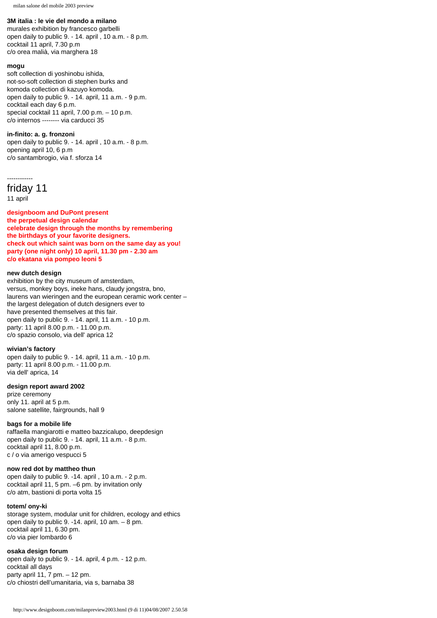# **3M italia : le vie del mondo a milano**

murales exhibition by francesco garbelli open daily to public 9. - 14. april , 10 a.m. - 8 p.m. cocktail 11 april, 7.30 p.m c/o orea malià, via marghera 18

#### **mogu**

soft collection di yoshinobu ishida, not-so-soft collection di stephen burks and komoda collection di kazuyo komoda. open daily to public 9. - 14. april, 11 a.m. - 9 p.m. cocktail each day 6 p.m. special cocktail 11 april, 7.00 p.m. – 10 p.m. c/o internos -------- via carducci 35

#### **in-finito: a. g. fronzoni**

open daily to public 9. - 14. april , 10 a.m. - 8 p.m. opening april 10, 6 p.m c/o santambrogio, via f. sforza 14

```
------------
```
friday 11

11 april

**designboom and DuPont present the perpetual design calendar celebrate design through the months by remembering the birthdays of your favorite designers. check out which saint was born on the same day as you! party (one night only) 10 april, 11.30 pm - 2.30 am c/o ekatana via pompeo leoni 5** 

#### **new dutch design**

exhibition by the city museum of amsterdam, versus, monkey boys, ineke hans, claudy jongstra, bno, laurens van wieringen and the european ceramic work center – the largest delegation of dutch designers ever to have presented themselves at this fair. open daily to public 9. - 14. april, 11 a.m. - 10 p.m. party: 11 april 8.00 p.m. - 11.00 p.m. c/o spazio consolo, via dell' aprica 12

#### **wivian's factory**

open daily to public 9. - 14. april, 11 a.m. - 10 p.m. party: 11 april 8.00 p.m. - 11.00 p.m. via dell' aprica, 14

#### **design report award 2002**

prize ceremony only 11. april at 5 p.m. salone satellite, fairgrounds, hall 9

#### **bags for a mobile life**

raffaella mangiarotti e matteo bazzicalupo, deepdesign open daily to public 9. - 14. april, 11 a.m. - 8 p.m. cocktail april 11, 8.00 p.m. c / o via amerigo vespucci 5

#### **now red dot by mattheo thun**

open daily to public 9. -14. april , 10 a.m. - 2 p.m. cocktail april 11, 5 pm. –6 pm. by invitation only c/o atm, bastioni di porta volta 15

#### **totem/ ony-ki**

storage system, modular unit for children, ecology and ethics open daily to public 9. -14. april, 10 am. – 8 pm. cocktail april 11, 6.30 pm. c/o via pier lombardo 6

#### **osaka design forum**

open daily to public 9. - 14. april, 4 p.m. - 12 p.m. cocktail all days party april 11, 7 pm. – 12 pm. c/o chiostri dell'umanitaria, via s, barnaba 38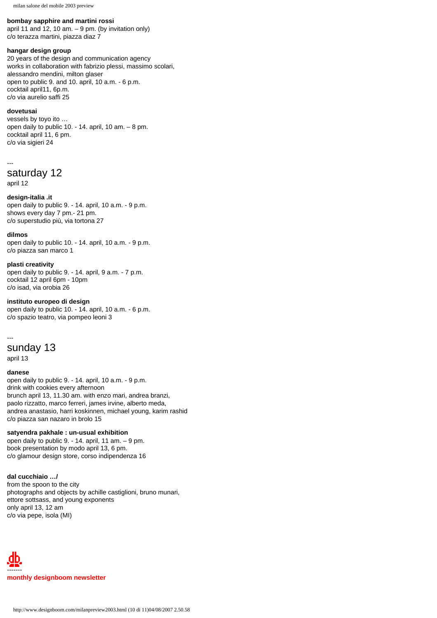#### **bombay sapphire and martini rossi**

april 11 and 12, 10 am.  $-9$  pm. (by invitation only) c/o terazza martini, piazza diaz 7

# **hangar design group**

20 years of the design and communication agency works in collaboration with fabrizio plessi, massimo scolari, alessandro mendini, milton glaser open to public 9. and 10. april, 10 a.m. - 6 p.m. cocktail april11, 6p.m. c/o via aurelio saffi 25

#### **dovetusai**

vessels by toyo ito … open daily to public 10. - 14. april, 10 am. – 8 pm. cocktail april 11, 6 pm. c/o via sigieri 24

---

```
saturday 12
```
april 12

#### **design-italia .it**

open daily to public 9. - 14. april, 10 a.m. - 9 p.m. shows every day 7 pm.- 21 pm. c/o superstudio più, via tortona 27

#### **dilmos**

open daily to public 10. - 14. april, 10 a.m. - 9 p.m. c/o piazza san marco 1

#### **plasti creativity**

open daily to public 9. - 14. april, 9 a.m. - 7 p.m. cocktail 12 april 6pm - 10pm c/o isad, via orobia 26

# **instituto europeo di design**

open daily to public 10. - 14. april, 10 a.m. - 6 p.m. c/o spazio teatro, via pompeo leoni 3

# -- sunday 13

april 13

# **danese**

open daily to public 9. - 14. april, 10 a.m. - 9 p.m. drink with cookies every afternoon brunch april 13, 11.30 am. with enzo mari, andrea branzi, paolo rizzatto, marco ferreri, james irvine, alberto meda, andrea anastasio, harri koskinnen, michael young, karim rashid c/o piazza san nazaro in brolo 15

## **satyendra pakhale : un-usual exhibition**

open daily to public 9. - 14. april, 11 am. – 9 pm. book presentation by modo april 13, 6 pm. c/o glamour design store, corso indipendenza 16

#### **dal cucchiaio …/**

from the spoon to the city photographs and objects by achille castiglioni, bruno munari, ettore sottsass, and young exponents only april 13, 12 am c/o via pepe, isola (MI)